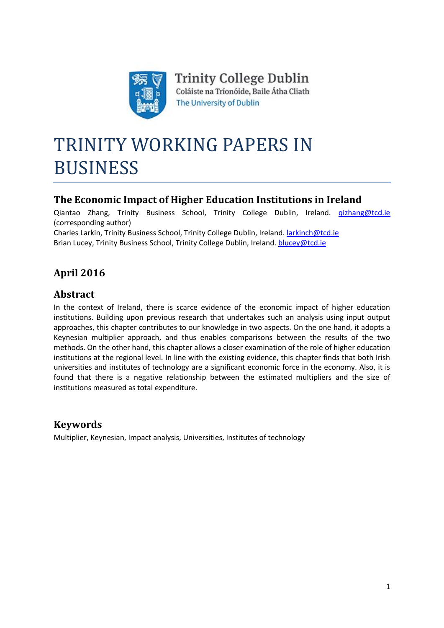

# TRINITY WORKING PAPERS IN BUSINESS

# **The Economic Impact of Higher Education Institutions in Ireland**

Qiantao Zhang, Trinity Business School, Trinity College Dublin, Ireland. [qizhang@tcd.ie](mailto:qizhang@tcd.ie) (corresponding author)

Charles Larkin, Trinity Business School, Trinity College Dublin, Ireland. [larkinch@tcd.ie](mailto:larkinch@tcd.ie) Brian Lucey, Trinity Business School, Trinity College Dublin, Ireland. [blucey@tcd.ie](mailto:blucey@tcd.ie)

# **April 2016**

# **Abstract**

In the context of Ireland, there is scarce evidence of the economic impact of higher education institutions. Building upon previous research that undertakes such an analysis using input output approaches, this chapter contributes to our knowledge in two aspects. On the one hand, it adopts a Keynesian multiplier approach, and thus enables comparisons between the results of the two methods. On the other hand, this chapter allows a closer examination of the role of higher education institutions at the regional level. In line with the existing evidence, this chapter finds that both Irish universities and institutes of technology are a significant economic force in the economy. Also, it is found that there is a negative relationship between the estimated multipliers and the size of institutions measured as total expenditure.

# **Keywords**

Multiplier, Keynesian, Impact analysis, Universities, Institutes of technology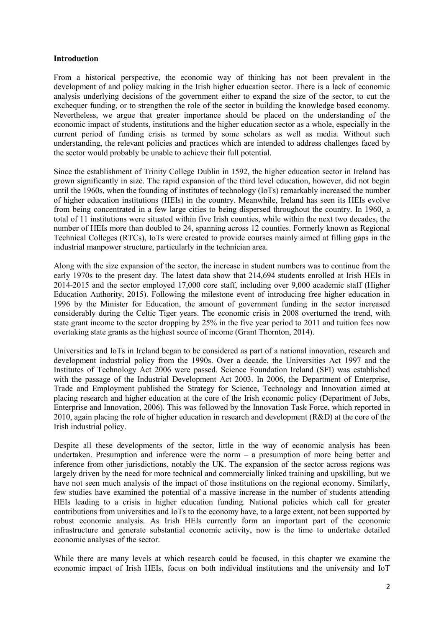## **Introduction**

From a historical perspective, the economic way of thinking has not been prevalent in the development of and policy making in the Irish higher education sector. There is a lack of economic analysis underlying decisions of the government either to expand the size of the sector, to cut the exchequer funding, or to strengthen the role of the sector in building the knowledge based economy. Nevertheless, we argue that greater importance should be placed on the understanding of the economic impact of students, institutions and the higher education sector as a whole, especially in the current period of funding crisis as termed by some scholars as well as media. Without such understanding, the relevant policies and practices which are intended to address challenges faced by the sector would probably be unable to achieve their full potential.

Since the establishment of Trinity College Dublin in 1592, the higher education sector in Ireland has grown significantly in size. The rapid expansion of the third level education, however, did not begin until the 1960s, when the founding of institutes of technology (IoTs) remarkably increased the number of higher education institutions (HEIs) in the country. Meanwhile, Ireland has seen its HEIs evolve from being concentrated in a few large cities to being dispersed throughout the country. In 1960, a total of 11 institutions were situated within five Irish counties, while within the next two decades, the number of HEIs more than doubled to 24, spanning across 12 counties. Formerly known as Regional Technical Colleges (RTCs), IoTs were created to provide courses mainly aimed at filling gaps in the industrial manpower structure, particularly in the technician area.

Along with the size expansion of the sector, the increase in student numbers was to continue from the early 1970s to the present day. The latest data show that 214,694 students enrolled at Irish HEIs in 2014-2015 and the sector employed 17,000 core staff, including over 9,000 academic staff (Higher Education Authority, 2015). Following the milestone event of introducing free higher education in 1996 by the Minister for Education, the amount of government funding in the sector increased considerably during the Celtic Tiger years. The economic crisis in 2008 overturned the trend, with state grant income to the sector dropping by 25% in the five year period to 2011 and tuition fees now overtaking state grants as the highest source of income (Grant Thornton, 2014).

Universities and IoTs in Ireland began to be considered as part of a national innovation, research and development industrial policy from the 1990s. Over a decade, the Universities Act 1997 and the Institutes of Technology Act 2006 were passed. Science Foundation Ireland (SFI) was established with the passage of the Industrial Development Act 2003. In 2006, the Department of Enterprise, Trade and Employment published the Strategy for Science, Technology and Innovation aimed at placing research and higher education at the core of the Irish economic policy (Department of Jobs, Enterprise and Innovation, 2006). This was followed by the Innovation Task Force, which reported in 2010, again placing the role of higher education in research and development (R&D) at the core of the Irish industrial policy.

Despite all these developments of the sector, little in the way of economic analysis has been undertaken. Presumption and inference were the norm – a presumption of more being better and inference from other jurisdictions, notably the UK. The expansion of the sector across regions was largely driven by the need for more technical and commercially linked training and upskilling, but we have not seen much analysis of the impact of those institutions on the regional economy. Similarly, few studies have examined the potential of a massive increase in the number of students attending HEIs leading to a crisis in higher education funding. National policies which call for greater contributions from universities and IoTs to the economy have, to a large extent, not been supported by robust economic analysis. As Irish HEIs currently form an important part of the economic infrastructure and generate substantial economic activity, now is the time to undertake detailed economic analyses of the sector.

While there are many levels at which research could be focused, in this chapter we examine the economic impact of Irish HEIs, focus on both individual institutions and the university and IoT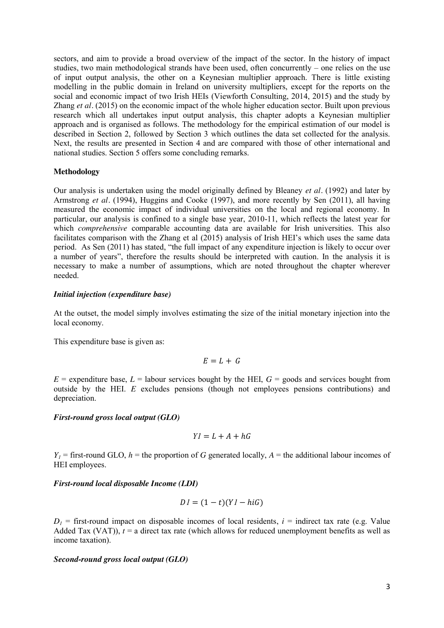sectors, and aim to provide a broad overview of the impact of the sector. In the history of impact studies, two main methodological strands have been used, often concurrently – one relies on the use of input output analysis, the other on a Keynesian multiplier approach. There is little existing modelling in the public domain in Ireland on university multipliers, except for the reports on the social and economic impact of two Irish HEIs (Viewforth Consulting, 2014, 2015) and the study by Zhang *et al.* (2015) on the economic impact of the whole higher education sector. Built upon previous research which all undertakes input output analysis, this chapter adopts a Keynesian multiplier approach and is organised as follows. The methodology for the empirical estimation of our model is described in Section 2, followed by Section 3 which outlines the data set collected for the analysis. Next, the results are presented in Section 4 and are compared with those of other international and national studies. Section 5 offers some concluding remarks.

#### **Methodology**

Our analysis is undertaken using the model originally defined by Bleaney *et al.* (1992) and later by Armstrong *et al.* (1994), Huggins and Cooke (1997), and more recently by Sen (2011), all having measured the economic impact of individual universities on the local and regional economy. In particular, our analysis is confined to a single base year, 2010-11, which reflects the latest year for which *comprehensive* comparable accounting data are available for Irish universities. This also facilitates comparison with the Zhang et al (2015) analysis of Irish HEI's which uses the same data period. As Sen (2011) has stated, "the full impact of any expenditure injection is likely to occur over a number of years", therefore the results should be interpreted with caution. In the analysis it is necessary to make a number of assumptions, which are noted throughout the chapter wherever needed.

#### *Initial injection (expenditure base)*

At the outset, the model simply involves estimating the size of the initial monetary injection into the local economy.

This expenditure base is given as:

$$
E = L + G
$$

 $E =$  expenditure base,  $L =$  labour services bought by the HEI,  $G =$  goods and services bought from outside by the HEI. *E* excludes pensions (though not employees pensions contributions) and depreciation.

#### *First-round gross local output (GLO)*

$$
YI = L + A + hG
$$

 $Y_1$  = first-round GLO,  $h$  = the proportion of *G* generated locally,  $A$  = the additional labour incomes of HEI employees.

#### *First-round local disposable Income (LDI)*

$$
DI = (1 - t)(YI - hiG)
$$

 $D_1$  = first-round impact on disposable incomes of local residents,  $i$  = indirect tax rate (e.g. Value Added Tax (VAT)),  $t = a$  direct tax rate (which allows for reduced unemployment benefits as well as income taxation).

## *Second-round gross local output (GLO)*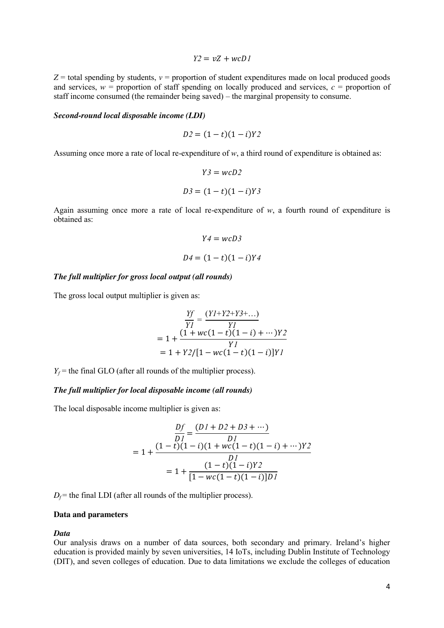$Y2 = vZ + wcD$ 

 $Z =$  total spending by students,  $v =$  proportion of student expenditures made on local produced goods and services,  $w =$  proportion of staff spending on locally produced and services,  $c =$  proportion of staff income consumed (the remainder being saved) – the marginal propensity to consume.

#### *Second-round local disposable income (LDI)*

$$
D2 = (1 - t)(1 - i)Y2
$$

Assuming once more a rate of local re-expenditure of *w*, a third round of expenditure is obtained as:

$$
Y3 = wcD2
$$

$$
D3 = (1 - t)(1 - i)Y3
$$

Again assuming once more a rate of local re-expenditure of *w*, a fourth round of expenditure is obtained as:

$$
Y4 = wcD3
$$

$$
D4 = (1 - t)(1 - i)Y4
$$

## *The full multiplier for gross local output (all rounds)*

The gross local output multiplier is given as:

$$
\frac{Yf}{Yl} = \frac{(Yl+Y2+Y3+...)}{Yl}
$$
  
= 1 +  $\frac{(1+wc(1-t)(1-i)+...)Y2}{Yl}$   
= 1 + Y2/[1 - wc(1-t)(1-i)]Yl

 $Y_f$  = the final GLO (after all rounds of the multiplier process).

# *The full multiplier for local disposable income (all rounds)*

The local disposable income multiplier is given as:

$$
\frac{Df}{DI} = \frac{(D1 + D2 + D3 + \cdots)}{DI}
$$
  
= 1 + 
$$
\frac{(1-t)(1-i)(1+wc(1-t)(1-i) + \cdots)Y2}{DI}
$$
  
= 1 + 
$$
\frac{(1-t)(1-i)Y2}{[1 - wc(1-t)(1-i)]DI}
$$

 $D_f$  = the final LDI (after all rounds of the multiplier process).

#### **Data and parameters**

*Data*

Our analysis draws on a number of data sources, both secondary and primary. Ireland's higher education is provided mainly by seven universities, 14 IoTs, including Dublin Institute of Technology (DIT), and seven colleges of education. Due to data limitations we exclude the colleges of education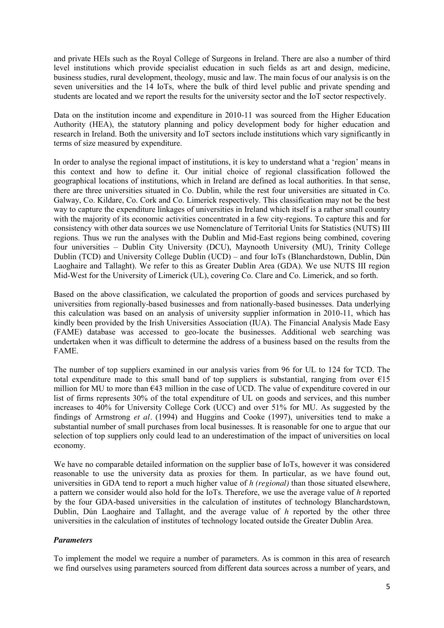and private HEIs such as the Royal College of Surgeons in Ireland. There are also a number of third level institutions which provide specialist education in such fields as art and design, medicine, business studies, rural development, theology, music and law. The main focus of our analysis is on the seven universities and the 14 IoTs, where the bulk of third level public and private spending and students are located and we report the results for the university sector and the IoT sector respectively.

Data on the institution income and expenditure in 2010-11 was sourced from the Higher Education Authority (HEA), the statutory planning and policy development body for higher education and research in Ireland. Both the university and IoT sectors include institutions which vary significantly in terms of size measured by expenditure.

In order to analyse the regional impact of institutions, it is key to understand what a 'region' means in this context and how to define it. Our initial choice of regional classification followed the geographical locations of institutions, which in Ireland are defined as local authorities. In that sense, there are three universities situated in Co. Dublin, while the rest four universities are situated in Co. Galway, Co. Kildare, Co. Cork and Co. Limerick respectively. This classification may not be the best way to capture the expenditure linkages of universities in Ireland which itself is a rather small country with the majority of its economic activities concentrated in a few city-regions. To capture this and for consistency with other data sources we use Nomenclature of Territorial Units for Statistics (NUTS) III regions. Thus we run the analyses with the Dublin and Mid-East regions being combined, covering four universities – Dublin City University (DCU), Maynooth University (MU), Trinity College Dublin (TCD) and University College Dublin (UCD) – and four IoTs (Blanchardstown, Dublin, Dún Laoghaire and Tallaght). We refer to this as Greater Dublin Area (GDA). We use NUTS III region Mid-West for the University of Limerick (UL), covering Co. Clare and Co. Limerick, and so forth.

Based on the above classification, we calculated the proportion of goods and services purchased by universities from regionally-based businesses and from nationally-based businesses. Data underlying this calculation was based on an analysis of university supplier information in 2010-11, which has kindly been provided by the Irish Universities Association (IUA). The Financial Analysis Made Easy (FAME) database was accessed to geo-locate the businesses. Additional web searching was undertaken when it was difficult to determine the address of a business based on the results from the FAME.

The number of top suppliers examined in our analysis varies from 96 for UL to 124 for TCD. The total expenditure made to this small band of top suppliers is substantial, ranging from over  $E15$ million for MU to more than €43 million in the case of UCD. The value of expenditure covered in our list of firms represents 30% of the total expenditure of UL on goods and services, and this number increases to 40% for University College Cork (UCC) and over 51% for MU. As suggested by the findings of Armstrong *et al.* (1994) and Huggins and Cooke (1997), universities tend to make a substantial number of small purchases from local businesses. It is reasonable for one to argue that our selection of top suppliers only could lead to an underestimation of the impact of universities on local economy.

We have no comparable detailed information on the supplier base of IoTs, however it was considered reasonable to use the university data as proxies for them. In particular, as we have found out, universities in GDA tend to report a much higher value of *h (regional)* than those situated elsewhere, a pattern we consider would also hold for the IoTs. Therefore, we use the average value of *h* reported by the four GDA-based universities in the calculation of institutes of technology Blanchardstown, Dublin, Dún Laoghaire and Tallaght, and the average value of *h* reported by the other three universities in the calculation of institutes of technology located outside the Greater Dublin Area.

# *Parameters*

To implement the model we require a number of parameters. As is common in this area of research we find ourselves using parameters sourced from different data sources across a number of years, and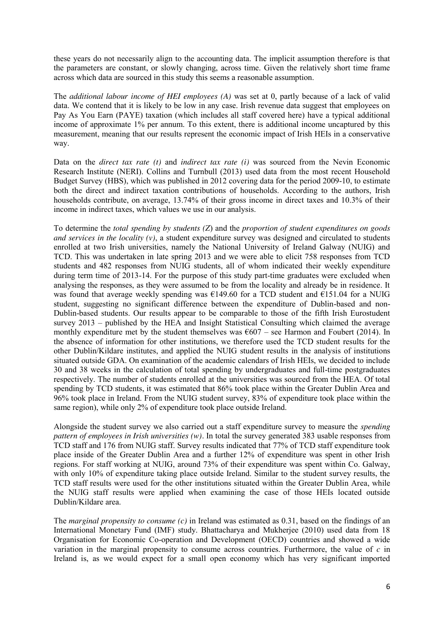these years do not necessarily align to the accounting data. The implicit assumption therefore is that the parameters are constant, or slowly changing, across time. Given the relatively short time frame across which data are sourced in this study this seems a reasonable assumption.

The *additional labour income of HEI employees (A)* was set at 0, partly because of a lack of valid data. We contend that it is likely to be low in any case. Irish revenue data suggest that employees on Pay As You Earn (PAYE) taxation (which includes all staff covered here) have a typical additional income of approximate 1% per annum. To this extent, there is additional income uncaptured by this measurement, meaning that our results represent the economic impact of Irish HEIs in a conservative way.

Data on the *direct tax rate (t)* and *indirect tax rate (i)* was sourced from the Nevin Economic Research Institute (NERI). Collins and Turnbull (2013) used data from the most recent Household Budget Survey (HBS), which was published in 2012 covering data for the period 2009-10, to estimate both the direct and indirect taxation contributions of households. According to the authors, Irish households contribute, on average, 13.74% of their gross income in direct taxes and 10.3% of their income in indirect taxes, which values we use in our analysis.

To determine the *total spending by students (Z*) and the *proportion of student expenditures on goods and services in the locality (v)*, a student expenditure survey was designed and circulated to students enrolled at two Irish universities, namely the National University of Ireland Galway (NUIG) and TCD. This was undertaken in late spring 2013 and we were able to elicit 758 responses from TCD students and 482 responses from NUIG students, all of whom indicated their weekly expenditure during term time of 2013-14. For the purpose of this study part-time graduates were excluded when analysing the responses, as they were assumed to be from the locality and already be in residence. It was found that average weekly spending was  $\epsilon$ 149.60 for a TCD student and  $\epsilon$ 151.04 for a NUIG student, suggesting no significant difference between the expenditure of Dublin-based and non-Dublin-based students. Our results appear to be comparable to those of the fifth Irish Eurostudent survey 2013 – published by the HEA and Insight Statistical Consulting which claimed the average monthly expenditure met by the student themselves was  $\epsilon$ 607 – see Harmon and Foubert (2014). In the absence of information for other institutions, we therefore used the TCD student results for the other Dublin/Kildare institutes, and applied the NUIG student results in the analysis of institutions situated outside GDA. On examination of the academic calendars of Irish HEIs, we decided to include 30 and 38 weeks in the calculation of total spending by undergraduates and full-time postgraduates respectively. The number of students enrolled at the universities was sourced from the HEA. Of total spending by TCD students, it was estimated that 86% took place within the Greater Dublin Area and 96% took place in Ireland. From the NUIG student survey, 83% of expenditure took place within the same region), while only 2% of expenditure took place outside Ireland.

Alongside the student survey we also carried out a staff expenditure survey to measure the *spending pattern of employees in Irish universities (w).* In total the survey generated 383 usable responses from TCD staff and 176 from NUIG staff. Survey results indicated that 77% of TCD staff expenditure took place inside of the Greater Dublin Area and a further 12% of expenditure was spent in other Irish regions. For staff working at NUIG, around 73% of their expenditure was spent within Co. Galway, with only 10% of expenditure taking place outside Ireland. Similar to the student survey results, the TCD staff results were used for the other institutions situated within the Greater Dublin Area, while the NUIG staff results were applied when examining the case of those HEIs located outside Dublin/Kildare area.

The *marginal propensity to consume (c)* in Ireland was estimated as 0.31, based on the findings of an International Monetary Fund (IMF) study. Bhattacharya and Mukherjee (2010) used data from 18 Organisation for Economic Co-operation and Development (OECD) countries and showed a wide variation in the marginal propensity to consume across countries. Furthermore, the value of *c* in Ireland is, as we would expect for a small open economy which has very significant imported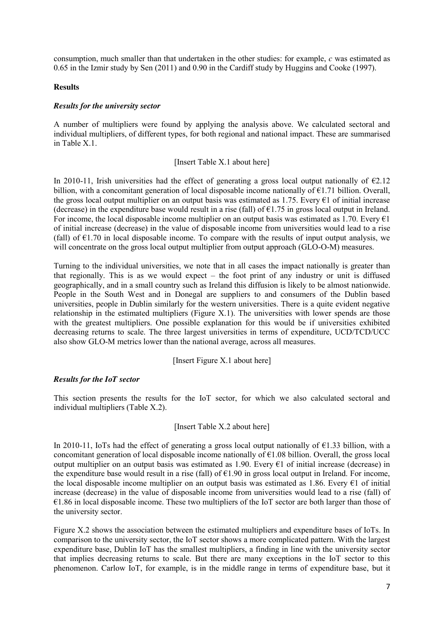consumption, much smaller than that undertaken in the other studies: for example, *c* was estimated as 0.65 in the Izmir study by Sen (2011) and 0.90 in the Cardiff study by Huggins and Cooke (1997).

## **Results**

# *Results for the university sector*

A number of multipliers were found by applying the analysis above. We calculated sectoral and individual multipliers, of different types, for both regional and national impact. These are summarised in Table X.1.

## [Insert Table X.1 about here]

In 2010-11, Irish universities had the effect of generating a gross local output nationally of  $\epsilon$ 2.12 billion, with a concomitant generation of local disposable income nationally of  $E1.71$  billion. Overall, the gross local output multiplier on an output basis was estimated as 1.75. Every  $\epsilon$ 1 of initial increase (decrease) in the expenditure base would result in a rise (fall) of  $\epsilon$ 1.75 in gross local output in Ireland. For income, the local disposable income multiplier on an output basis was estimated as 1.70. Every  $\epsilon$ 1 of initial increase (decrease) in the value of disposable income from universities would lead to a rise (fall) of  $E1.70$  in local disposable income. To compare with the results of input output analysis, we will concentrate on the gross local output multiplier from output approach (GLO-O-M) measures.

Turning to the individual universities, we note that in all cases the impact nationally is greater than that regionally. This is as we would expect – the foot print of any industry or unit is diffused geographically, and in a small country such as Ireland this diffusion is likely to be almost nationwide. People in the South West and in Donegal are suppliers to and consumers of the Dublin based universities, people in Dublin similarly for the western universities. There is a quite evident negative relationship in the estimated multipliers (Figure  $X(1)$ ). The universities with lower spends are those with the greatest multipliers. One possible explanation for this would be if universities exhibited decreasing returns to scale. The three largest universities in terms of expenditure, UCD/TCD/UCC also show GLO-M metrics lower than the national average, across all measures.

# [Insert Figure X.1 about here]

# *Results for the IoT sector*

This section presents the results for the IoT sector, for which we also calculated sectoral and individual multipliers (Table X.2).

# [Insert Table X.2 about here]

In 2010-11, IoTs had the effect of generating a gross local output nationally of  $\epsilon$ 1.33 billion, with a concomitant generation of local disposable income nationally of  $E1.08$  billion. Overall, the gross local output multiplier on an output basis was estimated as 1.90. Every €1 of initial increase (decrease) in the expenditure base would result in a rise (fall) of  $E1.90$  in gross local output in Ireland. For income, the local disposable income multiplier on an output basis was estimated as 1.86. Every  $\epsilon$ 1 of initial increase (decrease) in the value of disposable income from universities would lead to a rise (fall) of €1.86 in local disposable income. These two multipliers of the IoT sector are both larger than those of the university sector.

Figure X.2 shows the association between the estimated multipliers and expenditure bases of IoTs. In comparison to the university sector, the IoT sector shows a more complicated pattern. With the largest expenditure base, Dublin IoT has the smallest multipliers, a finding in line with the university sector that implies decreasing returns to scale. But there are many exceptions in the IoT sector to this phenomenon. Carlow IoT, for example, is in the middle range in terms of expenditure base, but it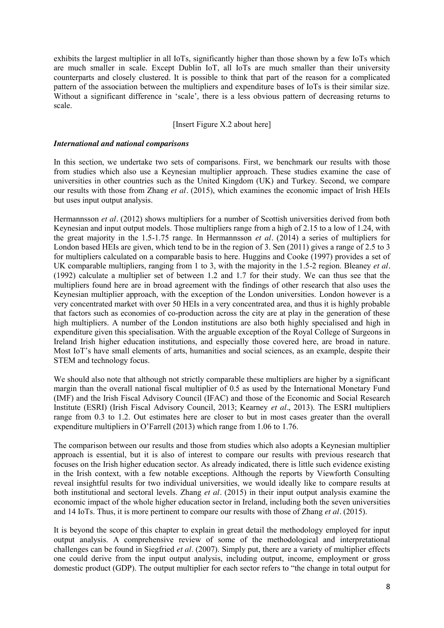exhibits the largest multiplier in all IoTs, significantly higher than those shown by a few IoTs which are much smaller in scale. Except Dublin IoT, all IoTs are much smaller than their university counterparts and closely clustered. It is possible to think that part of the reason for a complicated pattern of the association between the multipliers and expenditure bases of IoTs is their similar size. Without a significant difference in 'scale', there is a less obvious pattern of decreasing returns to scale.

# [Insert Figure X.2 about here]

# *International and national comparisons*

In this section, we undertake two sets of comparisons. First, we benchmark our results with those from studies which also use a Keynesian multiplier approach. These studies examine the case of universities in other countries such as the United Kingdom (UK) and Turkey. Second, we compare our results with those from Zhang *et al.* (2015), which examines the economic impact of Irish HEIs but uses input output analysis.

Hermannsson *et al.* (2012) shows multipliers for a number of Scottish universities derived from both Keynesian and input output models. Those multipliers range from a high of 2.15 to a low of 1.24, with the great majority in the 1.5-1.75 range. In Hermannsson *et al.* (2014) a series of multipliers for London based HEIs are given, which tend to be in the region of 3. Sen (2011) gives a range of 2.5 to 3 for multipliers calculated on a comparable basis to here. Huggins and Cooke (1997) provides a set of UK comparable multipliers, ranging from 1 to 3, with the majority in the 1.5-2 region. Bleaney *et al.* (1992) calculate a multiplier set of between 1.2 and 1.7 for their study. We can thus see that the multipliers found here are in broad agreement with the findings of other research that also uses the Keynesian multiplier approach, with the exception of the London universities. London however is a very concentrated market with over 50 HEIs in a very concentrated area, and thus it is highly probable that factors such as economies of co-production across the city are at play in the generation of these high multipliers. A number of the London institutions are also both highly specialised and high in expenditure given this specialisation. With the arguable exception of the Royal College of Surgeons in Ireland Irish higher education institutions, and especially those covered here, are broad in nature. Most IoT's have small elements of arts, humanities and social sciences, as an example, despite their STEM and technology focus.

We should also note that although not strictly comparable these multipliers are higher by a significant margin than the overall national fiscal multiplier of 0.5 as used by the International Monetary Fund (IMF) and the Irish Fiscal Advisory Council (IFAC) and those of the Economic and Social Research Institute (ESRI) (Irish Fiscal Advisory Council, 2013; Kearney *et al.*, 2013). The ESRI multipliers range from 0.3 to 1.2. Out estimates here are closer to but in most cases greater than the overall expenditure multipliers in O'Farrell (2013) which range from 1.06 to 1.76.

The comparison between our results and those from studies which also adopts a Keynesian multiplier approach is essential, but it is also of interest to compare our results with previous research that focuses on the Irish higher education sector. As already indicated, there is little such evidence existing in the Irish context, with a few notable exceptions. Although the reports by Viewforth Consulting reveal insightful results for two individual universities, we would ideally like to compare results at both institutional and sectoral levels. Zhang *et al.* (2015) in their input output analysis examine the economic impact of the whole higher education sector in Ireland, including both the seven universities and 14 IoTs. Thus, it is more pertinent to compare our results with those of Zhang *et al.* (2015).

It is beyond the scope of this chapter to explain in great detail the methodology employed for input output analysis. A comprehensive review of some of the methodological and interpretational challenges can be found in Siegfried *et al.* (2007). Simply put, there are a variety of multiplier effects one could derive from the input output analysis, including output, income, employment or gross domestic product (GDP). The output multiplier for each sector refers to "the change in total output for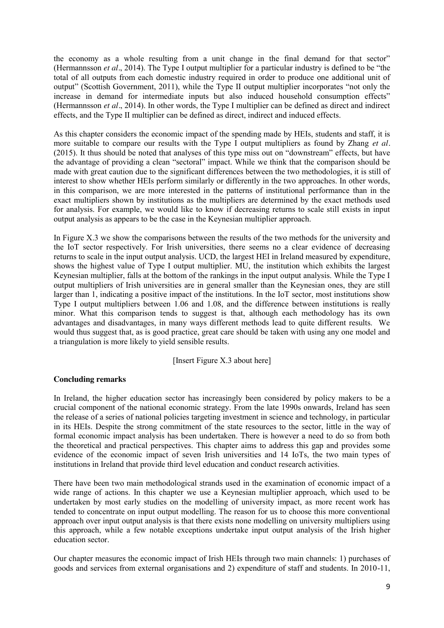the economy as a whole resulting from a unit change in the final demand for that sector" (Hermannsson *et al.*, 2014). The Type I output multiplier for a particular industry is defined to be "the total of all outputs from each domestic industry required in order to produce one additional unit of output" (Scottish Government, 2011), while the Type II output multiplier incorporates "not only the increase in demand for intermediate inputs but also induced household consumption effects" (Hermannsson *et al.*, 2014). In other words, the Type I multiplier can be defined as direct and indirect effects, and the Type II multiplier can be defined as direct, indirect and induced effects.

As this chapter considers the economic impact of the spending made by HEIs, students and staff, it is more suitable to compare our results with the Type I output multipliers as found by Zhang *et al.* (2015). It thus should be noted that analyses of this type miss out on "downstream" effects, but have the advantage of providing a clean "sectoral" impact. While we think that the comparison should be made with great caution due to the significant differences between the two methodologies, it is still of interest to show whether HEIs perform similarly or differently in the two approaches. In other words, in this comparison, we are more interested in the patterns of institutional performance than in the exact multipliers shown by institutions as the multipliers are determined by the exact methods used for analysis. For example, we would like to know if decreasing returns to scale still exists in input output analysis as appears to be the case in the Keynesian multiplier approach.

In Figure X.3 we show the comparisons between the results of the two methods for the university and the IoT sector respectively. For Irish universities, there seems no a clear evidence of decreasing returns to scale in the input output analysis. UCD, the largest HEI in Ireland measured by expenditure, shows the highest value of Type I output multiplier. MU, the institution which exhibits the largest Keynesian multiplier, falls at the bottom of the rankings in the input output analysis. While the Type I output multipliers of Irish universities are in general smaller than the Keynesian ones, they are still larger than 1, indicating a positive impact of the institutions. In the IoT sector, most institutions show Type I output multipliers between 1.06 and 1.08, and the difference between institutions is really minor. What this comparison tends to suggest is that, although each methodology has its own advantages and disadvantages, in many ways different methods lead to quite different results. We would thus suggest that, as is good practice, great care should be taken with using any one model and a triangulation is more likely to yield sensible results.

#### [Insert Figure X.3 about here]

#### **Concluding remarks**

In Ireland, the higher education sector has increasingly been considered by policy makers to be a crucial component of the national economic strategy. From the late 1990s onwards, Ireland has seen the release of a series of national policies targeting investment in science and technology, in particular in its HEIs. Despite the strong commitment of the state resources to the sector, little in the way of formal economic impact analysis has been undertaken. There is however a need to do so from both the theoretical and practical perspectives. This chapter aims to address this gap and provides some evidence of the economic impact of seven Irish universities and 14 IoTs, the two main types of institutions in Ireland that provide third level education and conduct research activities.

There have been two main methodological strands used in the examination of economic impact of a wide range of actions. In this chapter we use a Keynesian multiplier approach, which used to be undertaken by most early studies on the modelling of university impact, as more recent work has tended to concentrate on input output modelling. The reason for us to choose this more conventional approach over input output analysis is that there exists none modelling on university multipliers using this approach, while a few notable exceptions undertake input output analysis of the Irish higher education sector.

Our chapter measures the economic impact of Irish HEIs through two main channels: 1) purchases of goods and services from external organisations and 2) expenditure of staff and students. In 2010-11,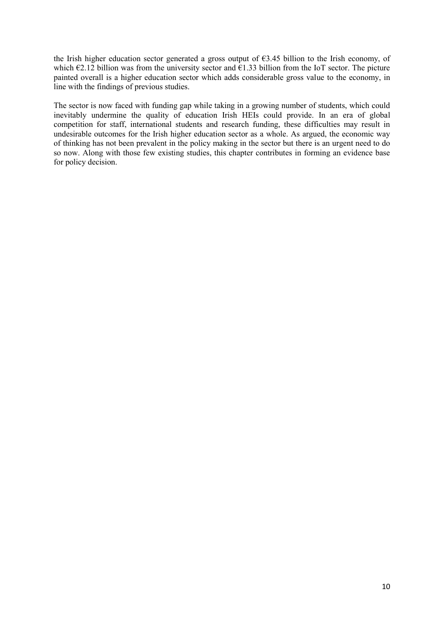the Irish higher education sector generated a gross output of  $63.45$  billion to the Irish economy, of which  $\epsilon$ 2.12 billion was from the university sector and  $\epsilon$ 1.33 billion from the IoT sector. The picture painted overall is a higher education sector which adds considerable gross value to the economy, in line with the findings of previous studies.

The sector is now faced with funding gap while taking in a growing number of students, which could inevitably undermine the quality of education Irish HEIs could provide. In an era of global competition for staff, international students and research funding, these difficulties may result in undesirable outcomes for the Irish higher education sector as a whole. As argued, the economic way of thinking has not been prevalent in the policy making in the sector but there is an urgent need to do so now. Along with those few existing studies, this chapter contributes in forming an evidence base for policy decision.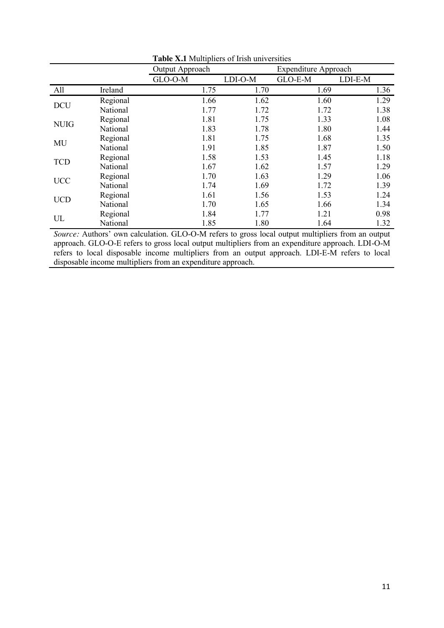| <b>Tuble 1811</b> Intuitipliers of hish universities |          |                                                |         |         |         |  |  |  |  |
|------------------------------------------------------|----------|------------------------------------------------|---------|---------|---------|--|--|--|--|
|                                                      |          | Output Approach<br><b>Expenditure Approach</b> |         |         |         |  |  |  |  |
|                                                      |          | GLO-O-M                                        | LDI-O-M | GLO-E-M | LDI-E-M |  |  |  |  |
| All                                                  | Ireland  | 1.75                                           | 1.70    | 1.69    | 1.36    |  |  |  |  |
| <b>DCU</b>                                           | Regional | 1.66                                           | 1.62    | 1.60    | 1.29    |  |  |  |  |
|                                                      | National | 1.77                                           | 1.72    | 1.72    | 1.38    |  |  |  |  |
| <b>NUIG</b>                                          | Regional | 1.81                                           | 1.75    | 1.33    | 1.08    |  |  |  |  |
|                                                      | National | 1.83                                           | 1.78    | 1.80    | 1.44    |  |  |  |  |
| MU                                                   | Regional | 1.81                                           | 1.75    | 1.68    | 1.35    |  |  |  |  |
|                                                      | National | 1.91                                           | 1.85    | 1.87    | 1.50    |  |  |  |  |
| <b>TCD</b>                                           | Regional | 1.58                                           | 1.53    | 1.45    | 1.18    |  |  |  |  |
|                                                      | National | 1.67                                           | 1.62    | 1.57    | 1.29    |  |  |  |  |
| <b>UCC</b>                                           | Regional | 1.70                                           | 1.63    | 1.29    | 1.06    |  |  |  |  |
|                                                      | National | 1.74                                           | 1.69    | 1.72    | 1.39    |  |  |  |  |
| <b>UCD</b>                                           | Regional | 1.61                                           | 1.56    | 1.53    | 1.24    |  |  |  |  |
|                                                      | National | 1.70                                           | 1.65    | 1.66    | 1.34    |  |  |  |  |
| UL                                                   | Regional | 1.84                                           | 1.77    | 1.21    | 0.98    |  |  |  |  |
|                                                      | National | 1.85                                           | 1.80    | 1.64    | 1.32    |  |  |  |  |

**Table X.1** Multipliers of Irish universities

*Source:* Authors' own calculation. GLO-O-M refers to gross local output multipliers from an output approach. GLO-O-E refers to gross local output multipliers from an expenditure approach. LDI-O-M refers to local disposable income multipliers from an output approach. LDI-E-M refers to local disposable income multipliers from an expenditure approach.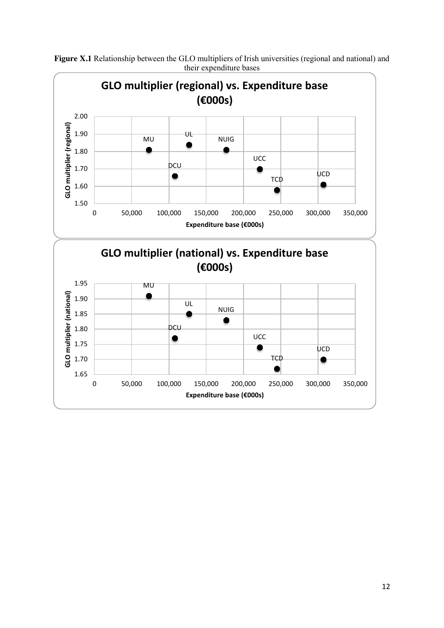

**Figure X.1** Relationship between the GLO multipliers of Irish universities (regional and national) and their expenditure bases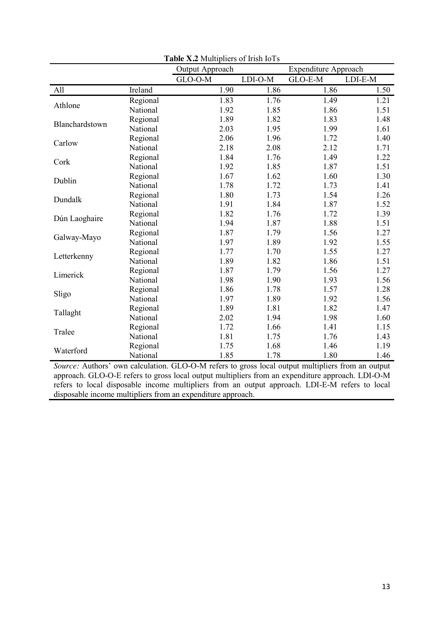|                |          | <b>Expenditure Approach</b><br>Output Approach |         |         |         |
|----------------|----------|------------------------------------------------|---------|---------|---------|
|                |          | GLO-O-M                                        | LDI-O-M | GLO-E-M | LDI-E-M |
| All            | Ireland  | 1.90                                           | 1.86    | 1.86    | 1.50    |
|                | Regional | 1.83                                           | 1.76    | 1.49    | 1.21    |
| Athlone        | National | 1.92                                           | 1.85    | 1.86    | 1.51    |
| Blanchardstown | Regional | 1.89                                           | 1.82    | 1.83    | 1.48    |
|                | National | 2.03                                           | 1.95    | 1.99    | 1.61    |
| Carlow         | Regional | 2.06                                           | 1.96    | 1.72    | 1.40    |
|                | National | 2.18                                           | 2.08    | 2.12    | 1.71    |
| Cork           | Regional | 1.84                                           | 1.76    | 1.49    | 1.22    |
|                | National | 1.92                                           | 1.85    | 1.87    | 1.51    |
| Dublin         | Regional | 1.67                                           | 1.62    | 1.60    | 1.30    |
|                | National | 1.78                                           | 1.72    | 1.73    | 1.41    |
| Dundalk        | Regional | 1.80                                           | 1.73    | 1.54    | 1.26    |
|                | National | 1.91                                           | 1.84    | 1.87    | 1.52    |
| Dún Laoghaire  | Regional | 1.82                                           | 1.76    | 1.72    | 1.39    |
|                | National | 1.94                                           | 1.87    | 1.88    | 1.51    |
| Galway-Mayo    | Regional | 1.87                                           | 1.79    | 1.56    | 1.27    |
|                | National | 1.97                                           | 1.89    | 1.92    | 1.55    |
| Letterkenny    | Regional | 1.77                                           | 1.70    | 1.55    | 1.27    |
|                | National | 1.89                                           | 1.82    | 1.86    | 1.51    |
| Limerick       | Regional | 1.87                                           | 1.79    | 1.56    | 1.27    |
|                | National | 1.98                                           | 1.90    | 1.93    | 1.56    |
| Sligo          | Regional | 1.86                                           | 1.78    | 1.57    | 1.28    |
|                | National | 1.97                                           | 1.89    | 1.92    | 1.56    |
| Tallaght       | Regional | 1.89                                           | 1.81    | 1.82    | 1.47    |
|                | National | 2.02                                           | 1.94    | 1.98    | 1.60    |
| Tralee         | Regional | 1.72                                           | 1.66    | 1.41    | 1.15    |
|                | National | 1.81                                           | 1.75    | 1.76    | 1.43    |
| Waterford      | Regional | 1.75                                           | 1.68    | 1.46    | 1.19    |
|                | National | 1.85                                           | 1.78    | 1.80    | 1.46    |

**Table X.2** Multipliers of Irish IoTs

*Source:* Authors' own calculation. GLO-O-M refers to gross local output multipliers from an output approach. GLO-O-E refers to gross local output multipliers from an expenditure approach. LDI-O-M refers to local disposable income multipliers from an output approach. LDI-E-M refers to local disposable income multipliers from an expenditure approach.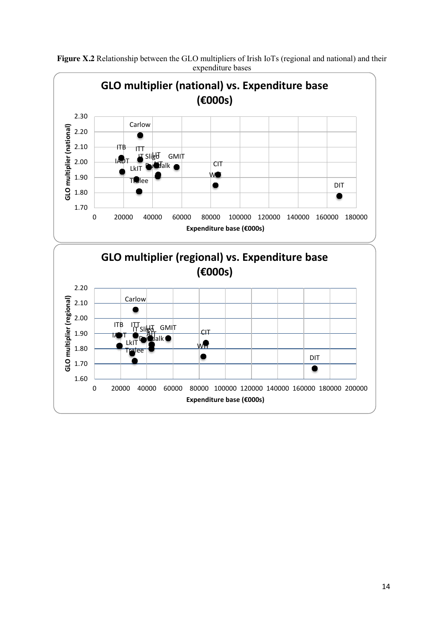

**Figure X.2** Relationship between the GLO multipliers of Irish IoTs (regional and national) and their expenditure bases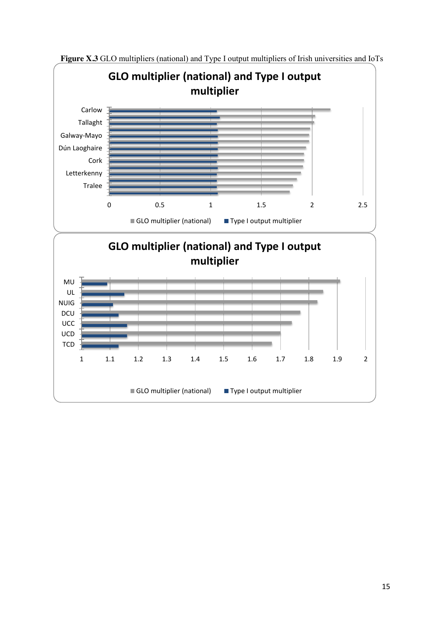

**Figure X.3** GLO multipliers (national) and Type I output multipliers of Irish universities and IoTs